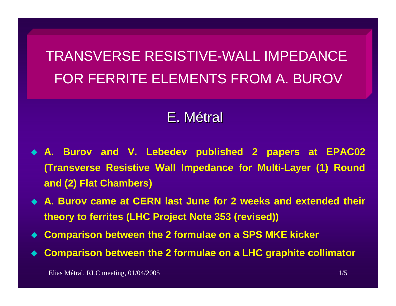TRANSVERSE RESISTIVE-WALL IMPEDANCEFOR FERRITE ELEMENTS FROM A. BUROV

# E.Métral

- ♦ **A. Burov and V. Lebedev published 2 papers at EPAC02 (Transverse Resistive Wall Impedance for Multi-Layer (1) Round and (2) Flat Chambers)**
- **A. Burov came at CERN last June for 2 weeks and extended their theory to ferrites (LHC Project Note 353 (revised))**
- ♦ **Comparison between the 2 formulae on a SPS MKE kicker**
- ♦ **Comparison between the 2 formulae on a LHC graphite collimator**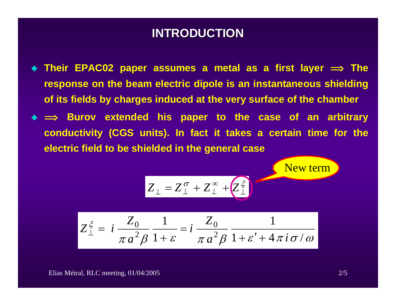#### **INTRODUCTION INTRODUCTION**

- ◆ Their EPAC02 paper assumes a metal as a first layer  $\implies$  The **response on the beam electric dipole is an instantaneous shielding of its fields by charges induced at the very surface of the chamber**
- ◆ ⇒ Burov extended his paper to the case of an arbitrary **conductivity (CGS units). In fact it takes a certain time for the electric field to be shielded in the general case**

 $\sigma$   $7^\infty$   $\sqrt{7^\xi}$ 

⊥

New term

$$
Z_{\perp}^{\xi} = i \frac{Z_0}{\pi a^2 \beta} \frac{1}{1+\varepsilon} = i \frac{Z_0}{\pi a^2 \beta} \frac{1}{1+\varepsilon' + 4\pi i \sigma / \omega}
$$

 $Z_{\perp} = Z_{\perp}^{\sigma} + Z_{\perp}^{\infty} + Z_{\perp}^{\infty}$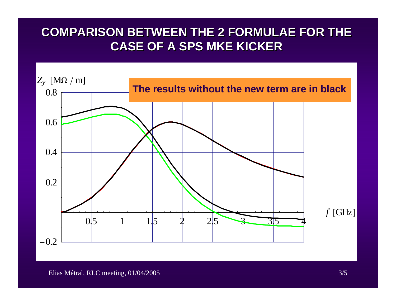### **COMPARISON BETWEEN THE 2 FORMULAE FOR THE COMPARISON BETWEEN THE 2 FORMULAE FOR THE CASE OF A SPS MKE KICKER CASE OF A SPS MKE KICKER**

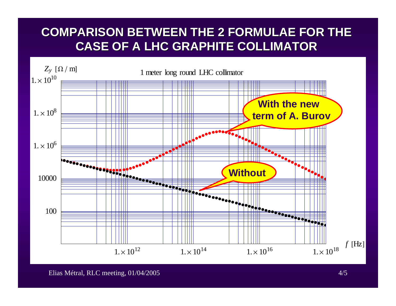## **COMPARISON BETWEEN THE 2 FORMULAE FOR THE COMPARISON BETWEEN THE 2 FORMULAE FOR THE CASE OF A LHC GRAPHITE COLLIMATOR CASE OF A LHC GRAPHITE COLLIMATOR**